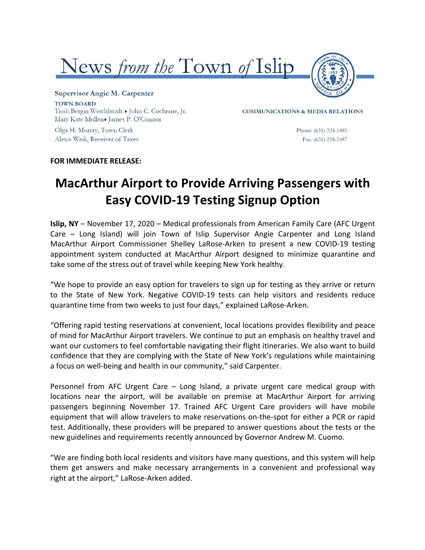



Supervisor Angie M. Carpenter **TOWN BOARD** Trish Bergin Weichbrodt . John C. Cochrane, Jr. Mary Kate Mullen. James P. O'Connor

Olga H. Murray, Town Clerk Alexis Weik, Receiver of Taxes **COMMUNICATIONS & MEDIA RELATIONS** 

Phone: (631) 224-5485 Fax: (631) 224-5487

#### **FOR IMMEDIATE RELEASE:**

# **MacArthur Airport to Provide Arriving Passengers with Easy COVID-19 Testing Signup Option**

**Islip, NY** – November 17, 2020 – Medical professionals from American Family Care (AFC Urgent Care – Long Island) will join Town of Islip Supervisor Angie Carpenter and Long Island MacArthur Airport Commissioner Shelley LaRose-Arken to present a new COVID-19 testing appointment system conducted at MacArthur Airport designed to minimize quarantine and take some of the stress out of travel while keeping New York healthy.

"We hope to provide an easy option for travelers to sign up for testing as they arrive or return to the State of New York. Negative COVID-19 tests can help visitors and residents reduce quarantine time from two weeks to just four days," explained LaRose-Arken.

"Offering rapid testing reservations at convenient, local locations provides flexibility and peace of mind for MacArthur Airport travelers. We continue to put an emphasis on healthy travel and want our customers to feel comfortable navigating their flight itineraries. We also want to build confidence that they are complying with the State of New York's regulations while maintaining a focus on well-being and health in our community," said Carpenter.

Personnel from AFC Urgent Care - Long Island, a private urgent care medical group with locations near the airport, will be available on premise at MacArthur Airport for arriving passengers beginning November 17. Trained AFC Urgent Care providers will have mobile equipment that will allow travelers to make reservations on-the-spot for either a PCR or rapid test. Additionally, these providers will be prepared to answer questions about the tests or the new guidelines and requirements recently announced by Governor Andrew M. Cuomo.

"We are finding both local residents and visitors have many questions, and this system will help them get answers and make necessary arrangements in a convenient and professional way right at the airport," LaRose-Arken added.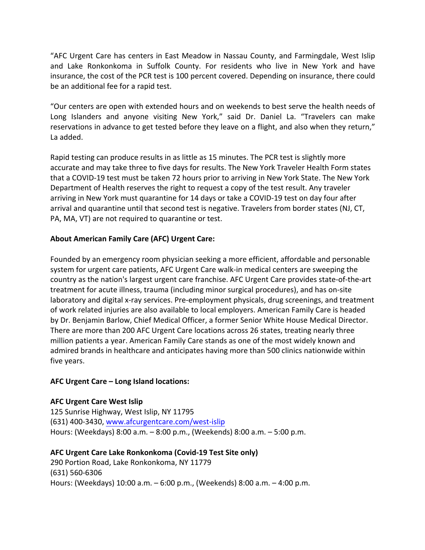"AFC Urgent Care has centers in East Meadow in Nassau County, and Farmingdale, West Islip and Lake Ronkonkoma in Suffolk County. For residents who live in New York and have insurance, the cost of the PCR test is 100 percent covered. Depending on insurance, there could be an additional fee for a rapid test.

"Our centers are open with extended hours and on weekends to best serve the health needs of Long Islanders and anyone visiting New York," said Dr. Daniel La. "Travelers can make reservations in advance to get tested before they leave on a flight, and also when they return," La added.

Rapid testing can produce results in as little as 15 minutes. The PCR test is slightly more accurate and may take three to five days for results. The New York Traveler Health Form states that a COVID-19 test must be taken 72 hours prior to arriving in New York State. The New York Department of Health reserves the right to request a copy of the test result. Any traveler arriving in New York must quarantine for 14 days or take a COVID-19 test on day four after arrival and quarantine until that second test is negative. Travelers from border states (NJ, CT, PA, MA, VT) are not required to quarantine or test.

# **About American Family Care (AFC) Urgent Care:**

Founded by an emergency room physician seeking a more efficient, affordable and personable system for urgent care patients, AFC Urgent Care walk-in medical centers are sweeping the country as the nation's largest urgent care franchise. AFC Urgent Care provides state-of-the-art treatment for acute illness, trauma (including minor surgical procedures), and has on-site laboratory and digital x-ray services. Pre-employment physicals, drug screenings, and treatment of work related injuries are also available to local employers. American Family Care is headed by Dr. Benjamin Barlow, Chief Medical Officer, a former Senior White House Medical Director. There are more than 200 AFC Urgent Care locations across 26 states, treating nearly three million patients a year. American Family Care stands as one of the most widely known and admired brands in healthcare and anticipates having more than 500 clinics nationwide within five years.

#### **AFC Urgent Care – Long Island locations:**

# **AFC Urgent Care West Islip**

125 Sunrise Highway, West Islip, NY 11795 (631) 400-3430, www.afcurgentcare.com/west-islip Hours: (Weekdays)  $8:00$  a.m.  $-8:00$  p.m., (Weekends)  $8:00$  a.m.  $-5:00$  p.m.

# **AFC Urgent Care Lake Ronkonkoma (Covid-19 Test Site only)**

290 Portion Road, Lake Ronkonkoma, NY 11779 (631) 560-6306 Hours: (Weekdays) 10:00 a.m. - 6:00 p.m., (Weekends) 8:00 a.m. - 4:00 p.m.